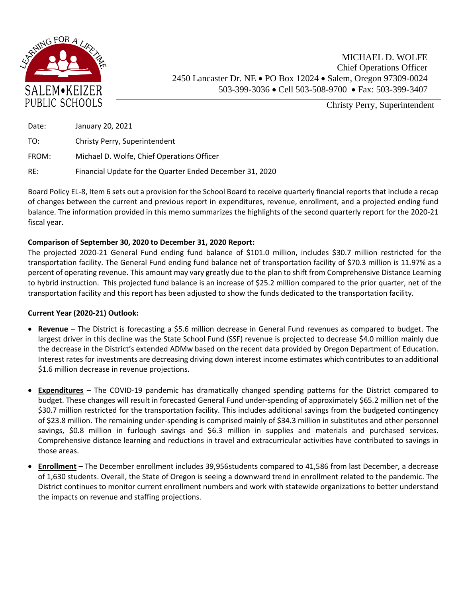

Christy Perry, Superintendent

| Date: | January 20, 2021                                         |
|-------|----------------------------------------------------------|
| TO:   | Christy Perry, Superintendent                            |
| FROM: | Michael D. Wolfe, Chief Operations Officer               |
| RE:   | Financial Update for the Quarter Ended December 31, 2020 |

Board Policy EL-8, Item 6 sets out a provision for the School Board to receive quarterly financial reports that include a recap of changes between the current and previous report in expenditures, revenue, enrollment, and a projected ending fund balance. The information provided in this memo summarizes the highlights of the second quarterly report for the 2020-21 fiscal year.

## **Comparison of September 30, 2020 to December 31, 2020 Report:**

The projected 2020-21 General Fund ending fund balance of \$101.0 million, includes \$30.7 million restricted for the transportation facility. The General Fund ending fund balance net of transportation facility of \$70.3 million is 11.97% as a percent of operating revenue. This amount may vary greatly due to the plan to shift from Comprehensive Distance Learning to hybrid instruction. This projected fund balance is an increase of \$25.2 million compared to the prior quarter, net of the transportation facility and this report has been adjusted to show the funds dedicated to the transportation facility.

## **Current Year (2020-21) Outlook:**

- **Revenue** The District is forecasting a \$5.6 million decrease in General Fund revenues as compared to budget. The largest driver in this decline was the State School Fund (SSF) revenue is projected to decrease \$4.0 million mainly due the decrease in the District's extended ADMw based on the recent data provided by Oregon Department of Education. Interest rates for investments are decreasing driving down interest income estimates which contributes to an additional \$1.6 million decrease in revenue projections.
- **Expenditures** The COVID-19 pandemic has dramatically changed spending patterns for the District compared to budget. These changes will result in forecasted General Fund under-spending of approximately \$65.2 million net of the \$30.7 million restricted for the transportation facility. This includes additional savings from the budgeted contingency of \$23.8 million. The remaining under-spending is comprised mainly of \$34.3 million in substitutes and other personnel savings, \$0.8 million in furlough savings and \$6.3 million in supplies and materials and purchased services. Comprehensive distance learning and reductions in travel and extracurricular activities have contributed to savings in those areas.
- **Enrollment –** The December enrollment includes 39,956students compared to 41,586 from last December, a decrease of 1,630 students. Overall, the State of Oregon is seeing a downward trend in enrollment related to the pandemic. The District continues to monitor current enrollment numbers and work with statewide organizations to better understand the impacts on revenue and staffing projections.